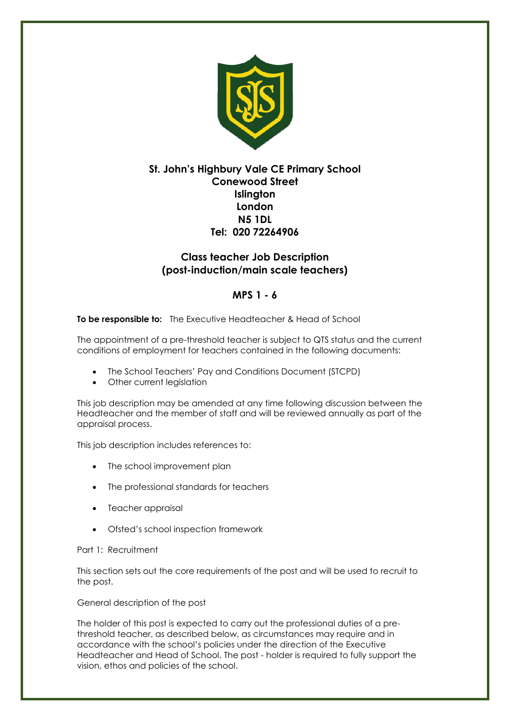

# **St. John's Highbury Vale CE Primary School Conewood Street Islington London N5 1DL Tel: 020 72264906**

# **Class teacher Job Description (post-induction/main scale teachers)**

# **MPS 1 - 6**

# **To be responsible to:** The Executive Headteacher & Head of School

The appointment of a pre-threshold teacher is subject to QTS status and the current conditions of employment for teachers contained in the following documents:

- The School Teachers' Pay and Conditions Document (STCPD)
- Other current legislation

This job description may be amended at any time following discussion between the Headteacher and the member of staff and will be reviewed annually as part of the appraisal process.

This job description includes references to:

- The school improvement plan
- The professional standards for teachers
- Teacher appraisal
- Ofsted's school inspection framework

#### Part 1: Recruitment

This section sets out the core requirements of the post and will be used to recruit to the post.

#### General description of the post

The holder of this post is expected to carry out the professional duties of a prethreshold teacher, as described below, as circumstances may require and in accordance with the school's policies under the direction of the Executive Headteacher and Head of School. The post - holder is required to fully support the vision, ethos and policies of the school.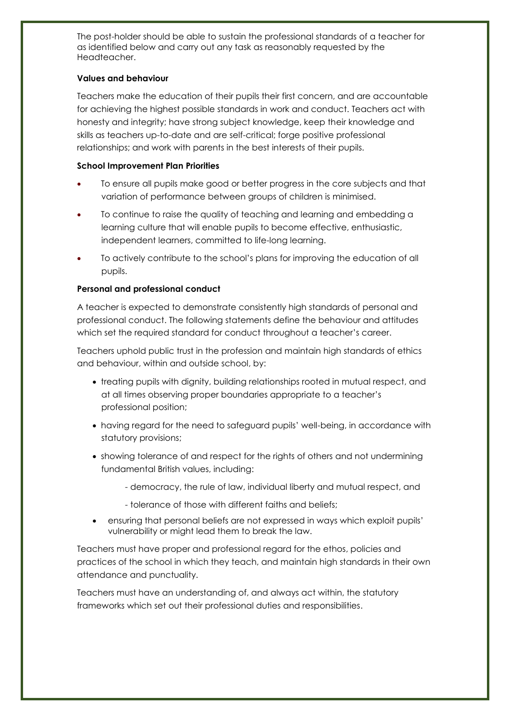The post-holder should be able to sustain the professional standards of a teacher for as identified below and carry out any task as reasonably requested by the Headteacher.

## **Values and behaviour**

Teachers make the education of their pupils their first concern, and are accountable for achieving the highest possible standards in work and conduct. Teachers act with honesty and integrity; have strong subject knowledge, keep their knowledge and skills as teachers up-to-date and are self-critical; forge positive professional relationships; and work with parents in the best interests of their pupils.

### **School Improvement Plan Priorities**

- To ensure all pupils make good or better progress in the core subjects and that variation of performance between groups of children is minimised.
- To continue to raise the quality of teaching and learning and embedding a learning culture that will enable pupils to become effective, enthusiastic, independent learners, committed to life-long learning.
- To actively contribute to the school's plans for improving the education of all pupils.

### **Personal and professional conduct**

A teacher is expected to demonstrate consistently high standards of personal and professional conduct. The following statements define the behaviour and attitudes which set the required standard for conduct throughout a teacher's career.

Teachers uphold public trust in the profession and maintain high standards of ethics and behaviour, within and outside school, by:

- treating pupils with dignity, building relationships rooted in mutual respect, and at all times observing proper boundaries appropriate to a teacher's professional position;
- having regard for the need to safeguard pupils' well-being, in accordance with statutory provisions;
- showing tolerance of and respect for the rights of others and not undermining fundamental British values, including:
	- democracy, the rule of law, individual liberty and mutual respect, and
	- tolerance of those with different faiths and beliefs;
- ensuring that personal beliefs are not expressed in ways which exploit pupils' vulnerability or might lead them to break the law.

Teachers must have proper and professional regard for the ethos, policies and practices of the school in which they teach, and maintain high standards in their own attendance and punctuality.

Teachers must have an understanding of, and always act within, the statutory frameworks which set out their professional duties and responsibilities.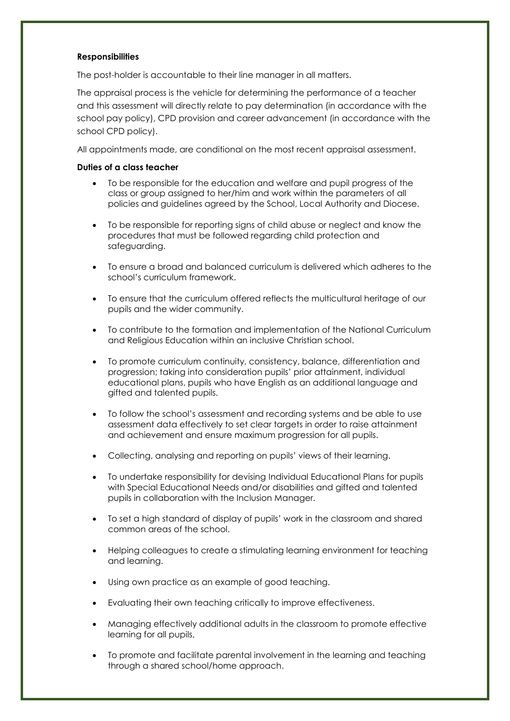#### **Responsibilities**

The post-holder is accountable to their line manager in all matters.

The appraisal process is the vehicle for determining the performance of a teacher and this assessment will directly relate to pay determination (in accordance with the school pay policy), CPD provision and career advancement (in accordance with the school CPD policy).

All appointments made, are conditional on the most recent appraisal assessment.

#### **Duties of a class teacher**

- To be responsible for the education and welfare and pupil progress of the class or group assigned to her/him and work within the parameters of all policies and guidelines agreed by the School, Local Authority and Diocese.
- To be responsible for reporting signs of child abuse or neglect and know the procedures that must be followed regarding child protection and safeguarding.
- To ensure a broad and balanced curriculum is delivered which adheres to the school's curriculum framework.
- To ensure that the curriculum offered reflects the multicultural heritage of our pupils and the wider community.
- To contribute to the formation and implementation of the National Curriculum and Religious Education within an inclusive Christian school.
- To promote curriculum continuity, consistency, balance, differentiation and progression; taking into consideration pupils' prior attainment, individual educational plans, pupils who have English as an additional language and gifted and talented pupils.
- To follow the school's assessment and recording systems and be able to use assessment data effectively to set clear targets in order to raise attainment and achievement and ensure maximum progression for all pupils.
- Collecting, analysing and reporting on pupils' views of their learning.
- To undertake responsibility for devising Individual Educational Plans for pupils with Special Educational Needs and/or disabilities and gifted and talented pupils in collaboration with the Inclusion Manager.
- To set a high standard of display of pupils' work in the classroom and shared common areas of the school.
- Helping colleagues to create a stimulating learning environment for teaching and learning.
- Using own practice as an example of good teaching.
- Evaluating their own teaching critically to improve effectiveness.
- Managing effectively additional adults in the classroom to promote effective learning for all pupils,
- To promote and facilitate parental involvement in the learning and teaching through a shared school/home approach.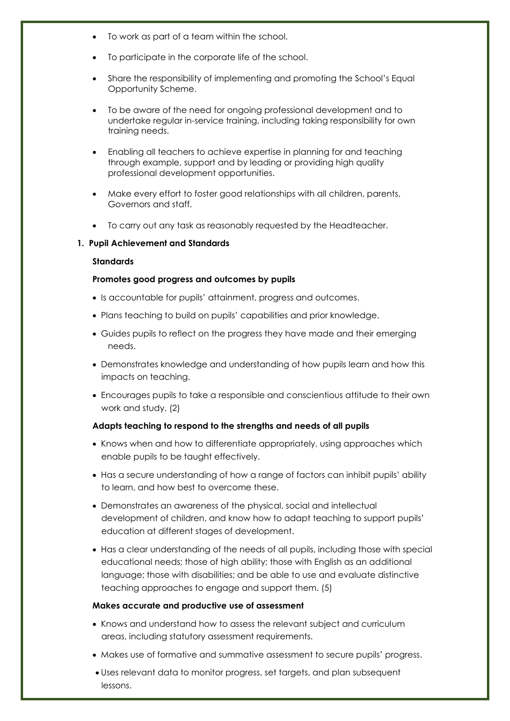- To work as part of a team within the school.
- To participate in the corporate life of the school.
- Share the responsibility of implementing and promoting the School's Equal Opportunity Scheme.
- To be aware of the need for ongoing professional development and to undertake regular in-service training, including taking responsibility for own training needs.
- Enabling all teachers to achieve expertise in planning for and teaching through example, support and by leading or providing high quality professional development opportunities.
- Make every effort to foster good relationships with all children, parents, Governors and staff.
- To carry out any task as reasonably requested by the Headteacher.

#### **1. Pupil Achievement and Standards**

#### **Standards**

#### **Promotes good progress and outcomes by pupils**

- Is accountable for pupils' attainment, progress and outcomes.
- Plans teaching to build on pupils' capabilities and prior knowledge.
- Guides pupils to reflect on the progress they have made and their emerging needs.
- Demonstrates knowledge and understanding of how pupils learn and how this impacts on teaching.
- Encourages pupils to take a responsible and conscientious attitude to their own work and study. (2)

#### **Adapts teaching to respond to the strengths and needs of all pupils**

- Knows when and how to differentiate appropriately, using approaches which enable pupils to be taught effectively.
- Has a secure understanding of how a range of factors can inhibit pupils' ability to learn, and how best to overcome these.
- Demonstrates an awareness of the physical, social and intellectual development of children, and know how to adapt teaching to support pupils' education at different stages of development.
- Has a clear understanding of the needs of all pupils, including those with special educational needs; those of high ability; those with English as an additional language; those with disabilities; and be able to use and evaluate distinctive teaching approaches to engage and support them. (5)

#### **Makes accurate and productive use of assessment**

- Knows and understand how to assess the relevant subject and curriculum areas, including statutory assessment requirements.
- Makes use of formative and summative assessment to secure pupils' progress.
- Uses relevant data to monitor progress, set targets, and plan subsequent lessons.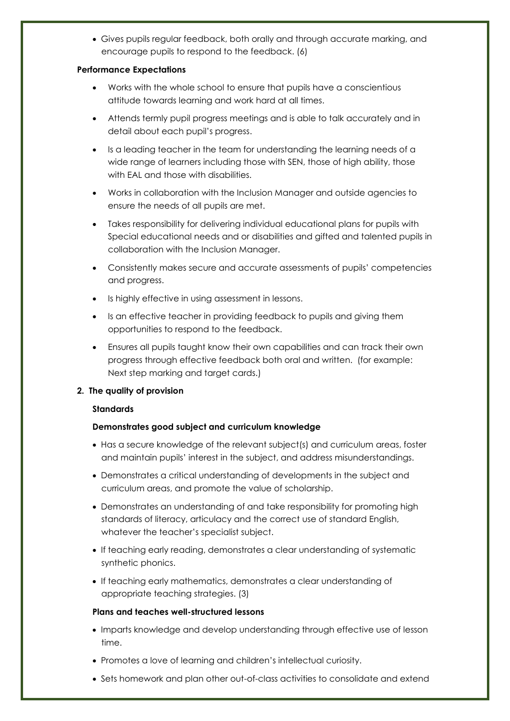Gives pupils regular feedback, both orally and through accurate marking, and encourage pupils to respond to the feedback. (6)

### **Performance Expectations**

- Works with the whole school to ensure that pupils have a conscientious attitude towards learning and work hard at all times.
- Attends termly pupil progress meetings and is able to talk accurately and in detail about each pupil's progress.
- Is a leading teacher in the team for understanding the learning needs of a wide range of learners including those with SEN, those of high ability, those with FAL and those with disabilities.
- Works in collaboration with the Inclusion Manager and outside agencies to ensure the needs of all pupils are met.
- Takes responsibility for delivering individual educational plans for pupils with Special educational needs and or disabilities and gifted and talented pupils in collaboration with the Inclusion Manager.
- Consistently makes secure and accurate assessments of pupils' competencies and progress.
- Is highly effective in using assessment in lessons.
- Is an effective teacher in providing feedback to pupils and giving them opportunities to respond to the feedback.
- Ensures all pupils taught know their own capabilities and can track their own progress through effective feedback both oral and written. (for example: Next step marking and target cards.)

# **2. The quality of provision**

# **Standards**

# **Demonstrates good subject and curriculum knowledge**

- Has a secure knowledge of the relevant subject(s) and curriculum areas, foster and maintain pupils' interest in the subject, and address misunderstandings.
- Demonstrates a critical understanding of developments in the subject and curriculum areas, and promote the value of scholarship.
- Demonstrates an understanding of and take responsibility for promoting high standards of literacy, articulacy and the correct use of standard English, whatever the teacher's specialist subject.
- If teaching early reading, demonstrates a clear understanding of systematic synthetic phonics.
- If teaching early mathematics, demonstrates a clear understanding of appropriate teaching strategies. (3)

# **Plans and teaches well-structured lessons**

- Imparts knowledge and develop understanding through effective use of lesson time.
- Promotes a love of learning and children's intellectual curiosity.
- Sets homework and plan other out-of-class activities to consolidate and extend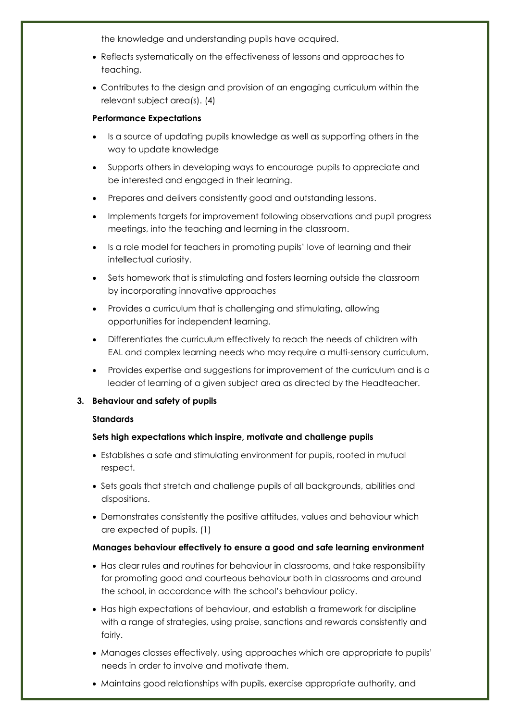the knowledge and understanding pupils have acquired.

- Reflects systematically on the effectiveness of lessons and approaches to teaching.
- Contributes to the design and provision of an engaging curriculum within the relevant subject area(s). (4)

## **Performance Expectations**

- Is a source of updating pupils knowledge as well as supporting others in the way to update knowledge
- Supports others in developing ways to encourage pupils to appreciate and be interested and engaged in their learning.
- Prepares and delivers consistently good and outstanding lessons.
- Implements targets for improvement following observations and pupil progress meetings, into the teaching and learning in the classroom.
- Is a role model for teachers in promoting pupils' love of learning and their intellectual curiosity.
- Sets homework that is stimulating and fosters learning outside the classroom by incorporating innovative approaches
- Provides a curriculum that is challenging and stimulating, allowing opportunities for independent learning.
- Differentiates the curriculum effectively to reach the needs of children with EAL and complex learning needs who may require a multi-sensory curriculum.
- Provides expertise and suggestions for improvement of the curriculum and is a leader of learning of a given subject area as directed by the Headteacher.

# **3. Behaviour and safety of pupils**

# **Standards**

# **Sets high expectations which inspire, motivate and challenge pupils**

- Establishes a safe and stimulating environment for pupils, rooted in mutual respect.
- Sets goals that stretch and challenge pupils of all backgrounds, abilities and dispositions.
- Demonstrates consistently the positive attitudes, values and behaviour which are expected of pupils. (1)

# **Manages behaviour effectively to ensure a good and safe learning environment**

- Has clear rules and routines for behaviour in classrooms, and take responsibility for promoting good and courteous behaviour both in classrooms and around the school, in accordance with the school's behaviour policy.
- Has high expectations of behaviour, and establish a framework for discipline with a range of strategies, using praise, sanctions and rewards consistently and fairly.
- Manages classes effectively, using approaches which are appropriate to pupils' needs in order to involve and motivate them.
- Maintains good relationships with pupils, exercise appropriate authority, and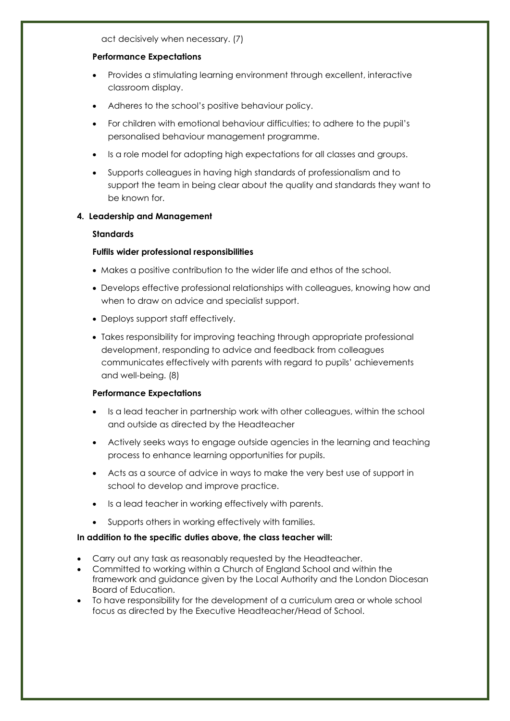act decisively when necessary. (7)

#### **Performance Expectations**

- Provides a stimulating learning environment through excellent, interactive classroom display.
- Adheres to the school's positive behaviour policy.
- For children with emotional behaviour difficulties; to adhere to the pupil's personalised behaviour management programme.
- Is a role model for adopting high expectations for all classes and groups.
- Supports colleagues in having high standards of professionalism and to support the team in being clear about the quality and standards they want to be known for.

### **4. Leadership and Management**

#### **Standards**

#### **Fulfils wider professional responsibilities**

- Makes a positive contribution to the wider life and ethos of the school.
- Develops effective professional relationships with colleagues, knowing how and when to draw on advice and specialist support.
- Deploys support staff effectively.
- Takes responsibility for improving teaching through appropriate professional development, responding to advice and feedback from colleagues communicates effectively with parents with regard to pupils' achievements and well-being. (8)

#### **Performance Expectations**

- Is a lead teacher in partnership work with other colleagues, within the school and outside as directed by the Headteacher
- Actively seeks ways to engage outside agencies in the learning and teaching process to enhance learning opportunities for pupils.
- Acts as a source of advice in ways to make the very best use of support in school to develop and improve practice.
- Is a lead teacher in working effectively with parents.
- Supports others in working effectively with families.

#### **In addition to the specific duties above, the class teacher will:**

- Carry out any task as reasonably requested by the Headteacher.
- Committed to working within a Church of England School and within the framework and guidance given by the Local Authority and the London Diocesan Board of Education.
- To have responsibility for the development of a curriculum area or whole school focus as directed by the Executive Headteacher/Head of School.